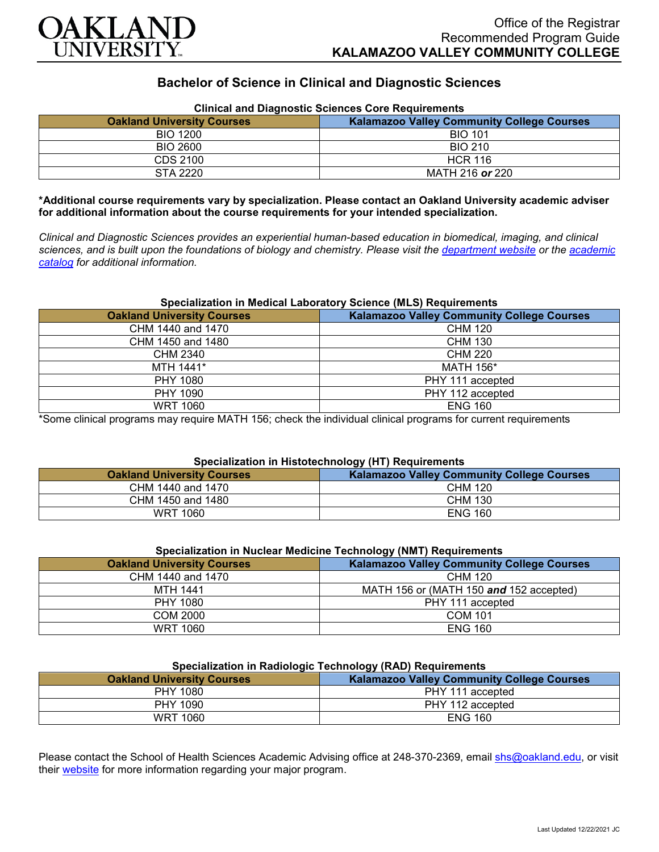

# **Bachelor of Science in Clinical and Diagnostic Sciences**

| Clinical and Diagnostic Sciences Core Requirements |                                                   |
|----------------------------------------------------|---------------------------------------------------|
| <b>Oakland University Courses</b>                  | <b>Kalamazoo Valley Community College Courses</b> |
| BIO 1200                                           | <b>BIO 101</b>                                    |
| BIO 2600                                           | <b>BIO 210</b>                                    |
| CDS 2100                                           | <b>HCR 116</b>                                    |
| STA 2220                                           | MATH 216 or 220                                   |

## **Clinical and Diagnostic Sciences Core Requirements**

**\*Additional course requirements vary by specialization. Please contact an Oakland University academic adviser for additional information about the course requirements for your intended specialization.**

*Clinical and Diagnostic Sciences provides an experiential human-based education in biomedical, imaging, and clinical sciences, and is built upon the foundations of biology and chemistry. Please visit the [department website](https://www.oakland.edu/shs/clinical-and-diagnostic-sciences/) or the [academic](http://catalog.oakland.edu/preview_program.php?catoid=53&poid=8663)  [catalog](http://catalog.oakland.edu/preview_program.php?catoid=53&poid=8663) for additional information.*

#### **Specialization in Medical Laboratory Science (MLS) Requirements**

| <b>Oakland University Courses</b> | <b>Kalamazoo Valley Community College Courses</b> |
|-----------------------------------|---------------------------------------------------|
| CHM 1440 and 1470                 | <b>CHM 120</b>                                    |
| CHM 1450 and 1480                 | <b>CHM 130</b>                                    |
| <b>CHM 2340</b>                   | <b>CHM 220</b>                                    |
| MTH 1441*                         | <b>MATH 156*</b>                                  |
| <b>PHY 1080</b>                   | PHY 111 accepted                                  |
| PHY 1090                          | PHY 112 accepted                                  |
| <b>WRT 1060</b>                   | <b>ENG 160</b>                                    |

\*Some clinical programs may require MATH 156; check the individual clinical programs for current requirements

## **Specialization in Histotechnology (HT) Requirements**

| <b>Oakland University Courses</b> | ---<br><b>Kalamazoo Valley Community College Courses</b> |
|-----------------------------------|----------------------------------------------------------|
| CHM 1440 and 1470                 | <b>CHM 120</b>                                           |
| CHM 1450 and 1480                 | CHM 130                                                  |
| WRT 1060                          | <b>ENG 160</b>                                           |

| Specialization in Nuclear Medicine Technology (NMT) Requirements |                                                   |
|------------------------------------------------------------------|---------------------------------------------------|
| <b>Oakland University Courses</b>                                | <b>Kalamazoo Valley Community College Courses</b> |
| CHM 1440 and 1470                                                | CHM 120                                           |
| MTH 1441                                                         | MATH 156 or (MATH 150 and 152 accepted)           |
| PHY 1080                                                         | PHY 111 accepted                                  |
| COM 2000                                                         | <b>COM 101</b>                                    |
| <b>WRT 1060</b>                                                  | <b>ENG 160</b>                                    |

#### **Specialization in Nuclear Medicine Technology (NMT) Requirements**

#### **Specialization in Radiologic Technology (RAD) Requirements**

| <b>Oakland University Courses</b> | <b>Kalamazoo Valley Community College Courses</b> |
|-----------------------------------|---------------------------------------------------|
| PHY 1080                          | PHY 111 accepted                                  |
| <b>PHY 1090</b>                   | PHY 112 accepted                                  |
| <b>WRT 1060</b>                   | <b>ENG 160</b>                                    |

Please contact the School of Health Sciences Academic Advising office at 248-370-2369, email [shs@oakland.edu,](mailto:shs@oakland.edu) or visit their [website](http://www.oakland.edu/shs/advising) for more information regarding your major program.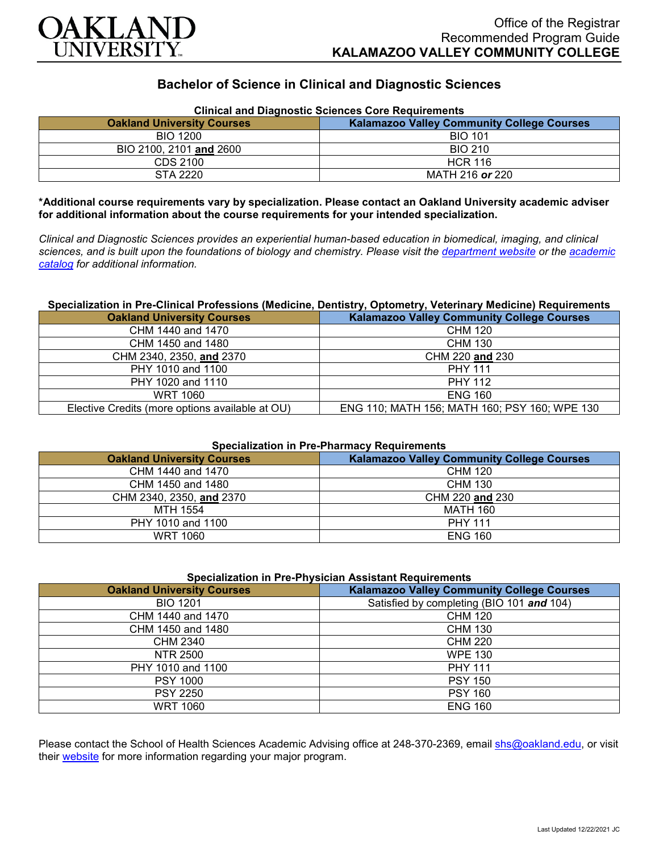

# **Bachelor of Science in Clinical and Diagnostic Sciences**

| Clinical and Diagnostic Sciences Core Requirements |                                                   |
|----------------------------------------------------|---------------------------------------------------|
| <b>Oakland University Courses</b>                  | <b>Kalamazoo Valley Community College Courses</b> |
| <b>BIO 1200</b>                                    | <b>BIO 101</b>                                    |
| BIO 2100, 2101 and 2600                            | <b>BIO 210</b>                                    |
| CDS 2100                                           | <b>HCR 116</b>                                    |
| STA 2220                                           | MATH 216 or 220                                   |

**Clinical and Diagnostic Sciences Core Requirements**

**\*Additional course requirements vary by specialization. Please contact an Oakland University academic adviser for additional information about the course requirements for your intended specialization.**

*Clinical and Diagnostic Sciences provides an experiential human-based education in biomedical, imaging, and clinical sciences, and is built upon the foundations of biology and chemistry. Please visit the [department website](https://www.oakland.edu/shs/clinical-and-diagnostic-sciences/) or the [academic](http://catalog.oakland.edu/preview_program.php?catoid=53&poid=8663)  [catalog](http://catalog.oakland.edu/preview_program.php?catoid=53&poid=8663) for additional information.*

### **Specialization in Pre-Clinical Professions (Medicine, Dentistry, Optometry, Veterinary Medicine) Requirements**

| <b>Oakland University Courses</b>               | <b>Kalamazoo Valley Community College Courses</b> |
|-------------------------------------------------|---------------------------------------------------|
| CHM 1440 and 1470                               | <b>CHM 120</b>                                    |
| CHM 1450 and 1480                               | <b>CHM 130</b>                                    |
| CHM 2340, 2350, and 2370                        | CHM 220 and 230                                   |
| PHY 1010 and 1100                               | <b>PHY 111</b>                                    |
| PHY 1020 and 1110                               | <b>PHY 112</b>                                    |
| <b>WRT 1060</b>                                 | <b>ENG 160</b>                                    |
| Elective Credits (more options available at OU) | ENG 110; MATH 156; MATH 160; PSY 160; WPE 130     |

#### **Specialization in Pre-Pharmacy Requirements**

| <b>Oakland University Courses</b> | <b>Kalamazoo Valley Community College Courses</b> |
|-----------------------------------|---------------------------------------------------|
| CHM 1440 and 1470                 | <b>CHM 120</b>                                    |
| CHM 1450 and 1480                 | CHM 130                                           |
| CHM 2340, 2350, and 2370          | CHM 220 and 230                                   |
| MTH 1554                          | MATH 160                                          |
| PHY 1010 and 1100                 | <b>PHY 111</b>                                    |
| WRT 1060                          | <b>ENG 160</b>                                    |

#### **Specialization in Pre-Physician Assistant Requirements**

| <b>Oakland University Courses</b> | <b>Kalamazoo Valley Community College Courses</b> |
|-----------------------------------|---------------------------------------------------|
| <b>BIO 1201</b>                   | Satisfied by completing (BIO 101 and 104)         |
| CHM 1440 and 1470                 | <b>CHM 120</b>                                    |
| CHM 1450 and 1480                 | <b>CHM 130</b>                                    |
| <b>CHM 2340</b>                   | <b>CHM 220</b>                                    |
| NTR 2500                          | <b>WPE 130</b>                                    |
| PHY 1010 and 1100                 | <b>PHY 111</b>                                    |
| <b>PSY 1000</b>                   | <b>PSY 150</b>                                    |
| <b>PSY 2250</b>                   | <b>PSY 160</b>                                    |
| <b>WRT 1060</b>                   | <b>ENG 160</b>                                    |

Please contact the School of Health Sciences Academic Advising office at 248-370-2369, email [shs@oakland.edu,](mailto:shs@oakland.edu) or visit their [website](http://www.oakland.edu/shs/advising) for more information regarding your major program.